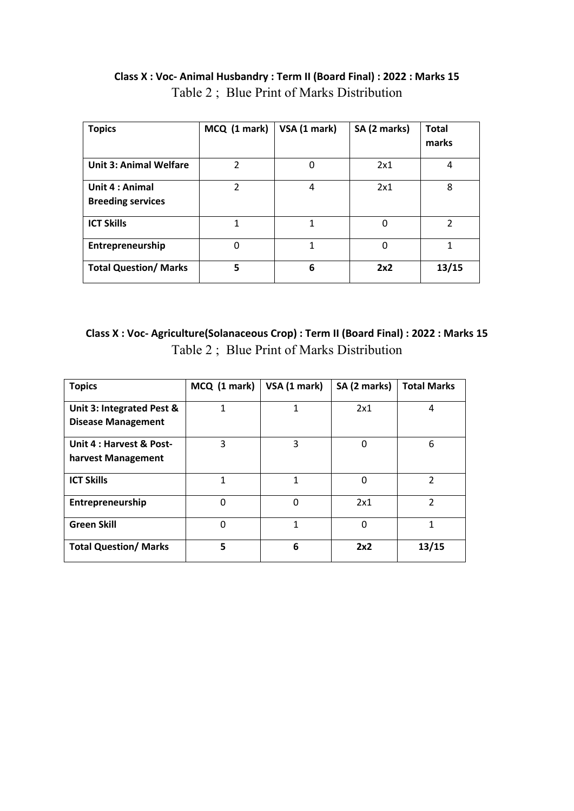| <b>Topics</b>                               | MCQ (1 mark)   | VSA (1 mark) | SA (2 marks) | <b>Total</b><br>marks |
|---------------------------------------------|----------------|--------------|--------------|-----------------------|
| <b>Unit 3: Animal Welfare</b>               | 2              | 0            | 2x1          | 4                     |
| Unit 4 : Animal<br><b>Breeding services</b> | $\overline{2}$ | 4            | 2x1          | 8                     |
| <b>ICT Skills</b>                           | 1              | 1            | $\Omega$     | $\mathcal{P}$         |
| Entrepreneurship                            | 0              | 1            | 0            | 1                     |
| <b>Total Question/ Marks</b>                | 5              | 6            | 2x2          | 13/15                 |

## **Class X : Voc- Animal Husbandry : Term II (Board Final) : 2022 : Marks 15** Table 2 ; Blue Print of Marks Distribution

## **Class X : Voc- Agriculture(Solanaceous Crop) : Term II (Board Final) : 2022 : Marks 15** Table 2 ; Blue Print of Marks Distribution

| <b>Topics</b>                                          | MCQ (1 mark) | VSA (1 mark) | SA (2 marks) | <b>Total Marks</b> |
|--------------------------------------------------------|--------------|--------------|--------------|--------------------|
| Unit 3: Integrated Pest &<br><b>Disease Management</b> | 1            | 1            | 2x1          | 4                  |
| Unit 4 : Harvest & Post-<br>harvest Management         | 3            | 3            | 0            | 6                  |
| <b>ICT Skills</b>                                      | 1            | 1            | 0            | $\mathfrak{p}$     |
| Entrepreneurship                                       | $\Omega$     | $\Omega$     | 2x1          | $\mathfrak{p}$     |
| <b>Green Skill</b>                                     | 0            | 1            | 0            | $\mathbf{1}$       |
| <b>Total Question/ Marks</b>                           | 5            | 6            | 2x2          | 13/15              |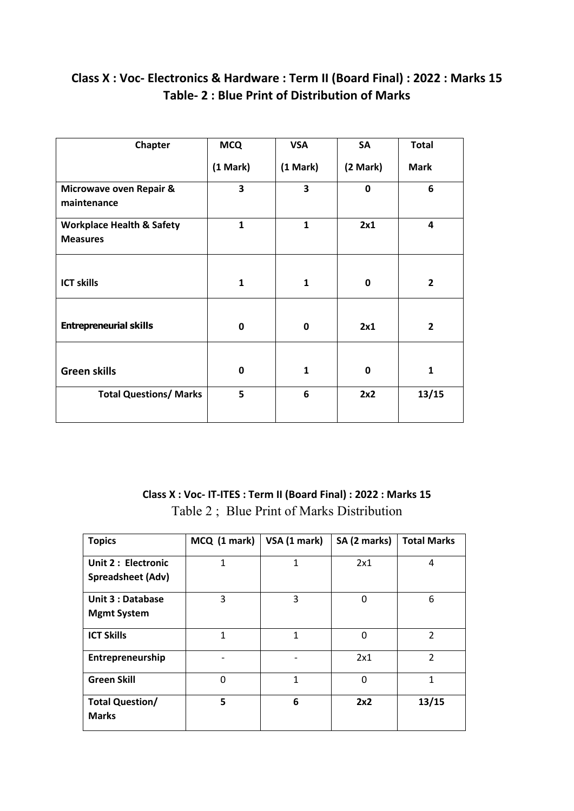# **Class X : Voc- Electronics & Hardware : Term II (Board Final) : 2022 : Marks 15 Table- 2 : Blue Print of Distribution of Marks**

| Chapter                                                 | <b>MCQ</b>   | <b>VSA</b>   | <b>SA</b> | <b>Total</b>            |
|---------------------------------------------------------|--------------|--------------|-----------|-------------------------|
|                                                         | (1 Mark)     | (1 Mark)     | (2 Mark)  | <b>Mark</b>             |
| Microwave oven Repair &<br>maintenance                  | 3            | 3            | 0         | $6\phantom{1}6$         |
| <b>Workplace Health &amp; Safety</b><br><b>Measures</b> | $\mathbf{1}$ | $\mathbf{1}$ | 2x1       | $\overline{\mathbf{4}}$ |
| <b>ICT skills</b>                                       | 1            | 1            | 0         | $\overline{2}$          |
| <b>Entrepreneurial skills</b>                           | 0            | 0            | 2x1       | $\overline{2}$          |
| <b>Green skills</b>                                     | 0            | $\mathbf{1}$ | 0         | $\mathbf{1}$            |
| <b>Total Questions/ Marks</b>                           | 5            | 6            | 2x2       | 13/15                   |

## **Class X : Voc- IT-ITES : Term II (Board Final) : 2022 : Marks 15** Table 2 ; Blue Print of Marks Distribution

| <b>Topics</b>                                   | MCQ (1 mark) | VSA (1 mark) | SA (2 marks) | <b>Total Marks</b>       |
|-------------------------------------------------|--------------|--------------|--------------|--------------------------|
| Unit 2 : Electronic<br><b>Spreadsheet (Adv)</b> | 1            | $\mathbf{1}$ | 2x1          | 4                        |
| <b>Unit 3 : Database</b><br><b>Mgmt System</b>  | 3            | 3            | 0            | 6                        |
| <b>ICT Skills</b>                               | 1            | 1            | $\Omega$     | $\overline{2}$           |
| Entrepreneurship                                |              |              | 2x1          | $\overline{\phantom{a}}$ |
| <b>Green Skill</b>                              | 0            | 1            | $\Omega$     | 1                        |
| <b>Total Question/</b><br><b>Marks</b>          | 5            | 6            | 2x2          | 13/15                    |